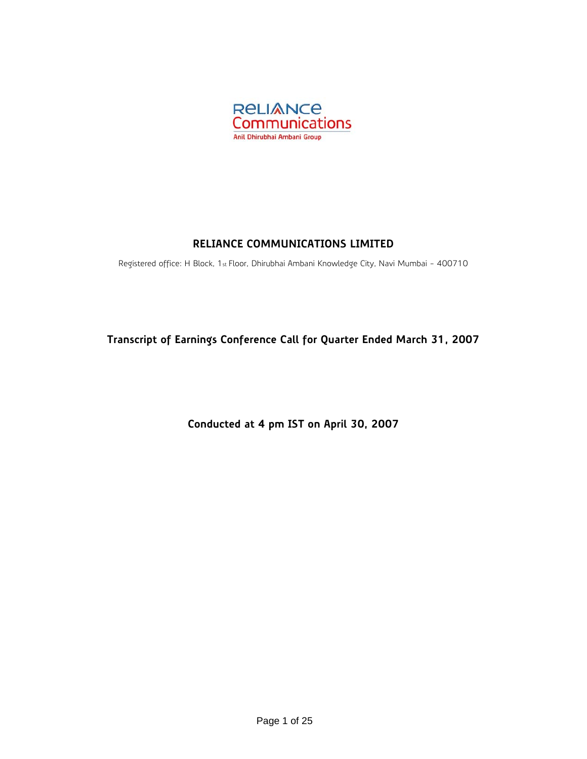

# **RELIANCE COMMUNICATIONS LIMITED**

Registered office: H Block, 1st Floor, Dhirubhai Ambani Knowledge City, Navi Mumbai - 400710

**Transcript of Earnings Conference Call for Quarter Ended March 31, 2007** 

**Conducted at 4 pm IST on April 30, 2007**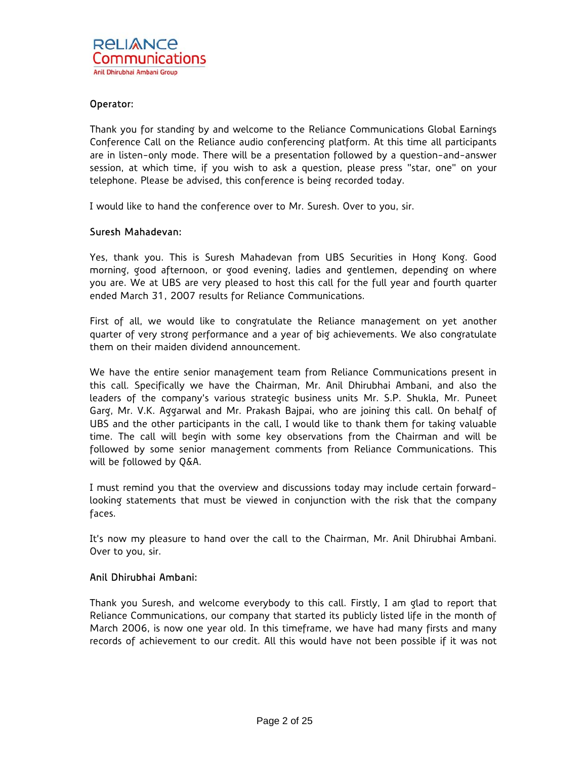## Operator:

Thank you for standing by and welcome to the Reliance Communications Global Earnings Conference Call on the Reliance audio conferencing platform. At this time all participants are in listen-only mode. There will be a presentation followed by a question-and-answer session, at which time, if you wish to ask a question, please press "star, one" on your telephone. Please be advised, this conference is being recorded today.

I would like to hand the conference over to Mr. Suresh. Over to you, sir.

### Suresh Mahadevan:

Yes, thank you. This is Suresh Mahadevan from UBS Securities in Hong Kong. Good morning, good afternoon, or good evening, ladies and gentlemen, depending on where you are. We at UBS are very pleased to host this call for the full year and fourth quarter ended March 31, 2007 results for Reliance Communications.

First of all, we would like to congratulate the Reliance management on yet another quarter of very strong performance and a year of big achievements. We also congratulate them on their maiden dividend announcement.

We have the entire senior management team from Reliance Communications present in this call. Specifically we have the Chairman, Mr. Anil Dhirubhai Ambani, and also the leaders of the company's various strategic business units Mr. S.P. Shukla, Mr. Puneet Garg, Mr. V.K. Aggarwal and Mr. Prakash Bajpai, who are joining this call. On behalf of UBS and the other participants in the call, I would like to thank them for taking valuable time. The call will begin with some key observations from the Chairman and will be followed by some senior management comments from Reliance Communications. This will be followed by Q&A.

I must remind you that the overview and discussions today may include certain forwardlooking statements that must be viewed in conjunction with the risk that the company faces.

It's now my pleasure to hand over the call to the Chairman, Mr. Anil Dhirubhai Ambani. Over to you, sir.

### Anil Dhirubhai Ambani:

Thank you Suresh, and welcome everybody to this call. Firstly, I am glad to report that Reliance Communications, our company that started its publicly listed life in the month of March 2006, is now one year old. In this timeframe, we have had many firsts and many records of achievement to our credit. All this would have not been possible if it was not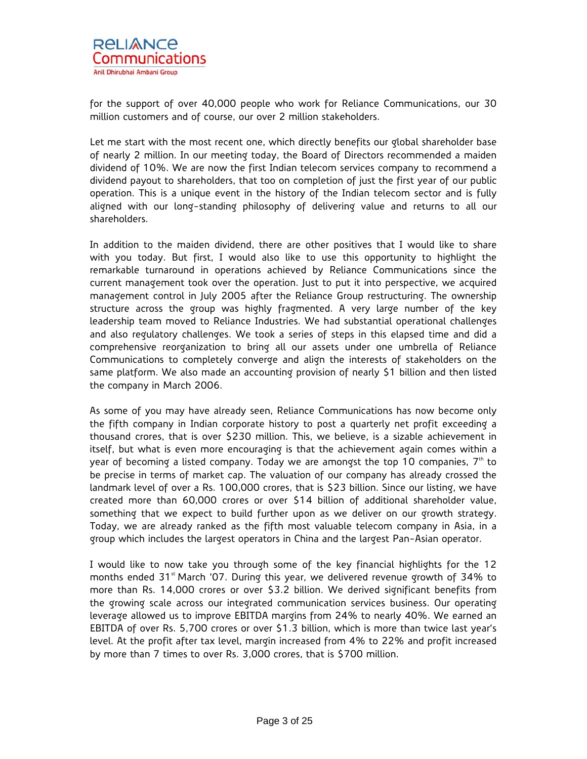

for the support of over 40,000 people who work for Reliance Communications, our 30 million customers and of course, our over 2 million stakeholders.

Let me start with the most recent one, which directly benefits our global shareholder base of nearly 2 million. In our meeting today, the Board of Directors recommended a maiden dividend of 10%. We are now the first Indian telecom services company to recommend a dividend payout to shareholders, that too on completion of just the first year of our public operation. This is a unique event in the history of the Indian telecom sector and is fully aligned with our long-standing philosophy of delivering value and returns to all our shareholders.

In addition to the maiden dividend, there are other positives that I would like to share with you today. But first, I would also like to use this opportunity to highlight the remarkable turnaround in operations achieved by Reliance Communications since the current management took over the operation. Just to put it into perspective, we acquired management control in July 2005 after the Reliance Group restructuring. The ownership structure across the group was highly fragmented. A very large number of the key leadership team moved to Reliance Industries. We had substantial operational challenges and also regulatory challenges. We took a series of steps in this elapsed time and did a comprehensive reorganization to bring all our assets under one umbrella of Reliance Communications to completely converge and align the interests of stakeholders on the same platform. We also made an accounting provision of nearly \$1 billion and then listed the company in March 2006.

As some of you may have already seen, Reliance Communications has now become only the fifth company in Indian corporate history to post a quarterly net profit exceeding a thousand crores, that is over \$230 million. This, we believe, is a sizable achievement in itself, but what is even more encouraging is that the achievement again comes within a year of becoming a listed company. Today we are amongst the top 10 companies,  $7<sup>th</sup>$  to be precise in terms of market cap. The valuation of our company has already crossed the landmark level of over a Rs. 100,000 crores, that is \$23 billion. Since our listing, we have created more than 60,000 crores or over \$14 billion of additional shareholder value, something that we expect to build further upon as we deliver on our growth strategy. Today, we are already ranked as the fifth most valuable telecom company in Asia, in a group which includes the largest operators in China and the largest Pan-Asian operator.

I would like to now take you through some of the key financial highlights for the 12 months ended  $31<sup>st</sup>$  March '07. During this year, we delivered revenue growth of 34% to more than Rs. 14,000 crores or over \$3.2 billion. We derived significant benefits from the growing scale across our integrated communication services business. Our operating leverage allowed us to improve EBITDA margins from 24% to nearly 40%. We earned an EBITDA of over Rs. 5,700 crores or over \$1.3 billion, which is more than twice last year's level. At the profit after tax level, margin increased from 4% to 22% and profit increased by more than 7 times to over Rs. 3,000 crores, that is \$700 million.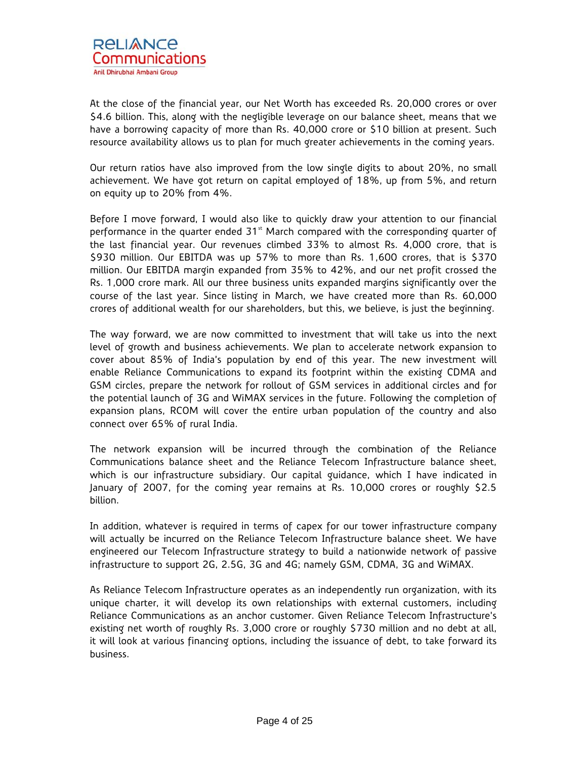At the close of the financial year, our Net Worth has exceeded Rs. 20,000 crores or over \$4.6 billion. This, along with the negligible leverage on our balance sheet, means that we have a borrowing capacity of more than Rs. 40,000 crore or \$10 billion at present. Such resource availability allows us to plan for much greater achievements in the coming years.

Our return ratios have also improved from the low single digits to about 20%, no small achievement. We have got return on capital employed of 18%, up from 5%, and return on equity up to 20% from 4%.

Before I move forward, I would also like to quickly draw your attention to our financial performance in the quarter ended  $31<sup>st</sup>$  March compared with the corresponding quarter of the last financial year. Our revenues climbed 33% to almost Rs. 4,000 crore, that is \$930 million. Our EBITDA was up 57% to more than Rs. 1,600 crores, that is \$370 million. Our EBITDA margin expanded from 35% to 42%, and our net profit crossed the Rs. 1,000 crore mark. All our three business units expanded margins significantly over the course of the last year. Since listing in March, we have created more than Rs. 60,000 crores of additional wealth for our shareholders, but this, we believe, is just the beginning.

The way forward, we are now committed to investment that will take us into the next level of growth and business achievements. We plan to accelerate network expansion to cover about 85% of India's population by end of this year. The new investment will enable Reliance Communications to expand its footprint within the existing CDMA and GSM circles, prepare the network for rollout of GSM services in additional circles and for the potential launch of 3G and WiMAX services in the future. Following the completion of expansion plans, RCOM will cover the entire urban population of the country and also connect over 65% of rural India.

The network expansion will be incurred through the combination of the Reliance Communications balance sheet and the Reliance Telecom Infrastructure balance sheet, which is our infrastructure subsidiary. Our capital guidance, which I have indicated in January of 2007, for the coming year remains at Rs. 10,000 crores or roughly \$2.5 billion.

In addition, whatever is required in terms of capex for our tower infrastructure company will actually be incurred on the Reliance Telecom Infrastructure balance sheet. We have engineered our Telecom Infrastructure strategy to build a nationwide network of passive infrastructure to support 2G, 2.5G, 3G and 4G; namely GSM, CDMA, 3G and WiMAX.

As Reliance Telecom Infrastructure operates as an independently run organization, with its unique charter, it will develop its own relationships with external customers, including Reliance Communications as an anchor customer. Given Reliance Telecom Infrastructure's existing net worth of roughly Rs. 3,000 crore or roughly \$730 million and no debt at all, it will look at various financing options, including the issuance of debt, to take forward its business.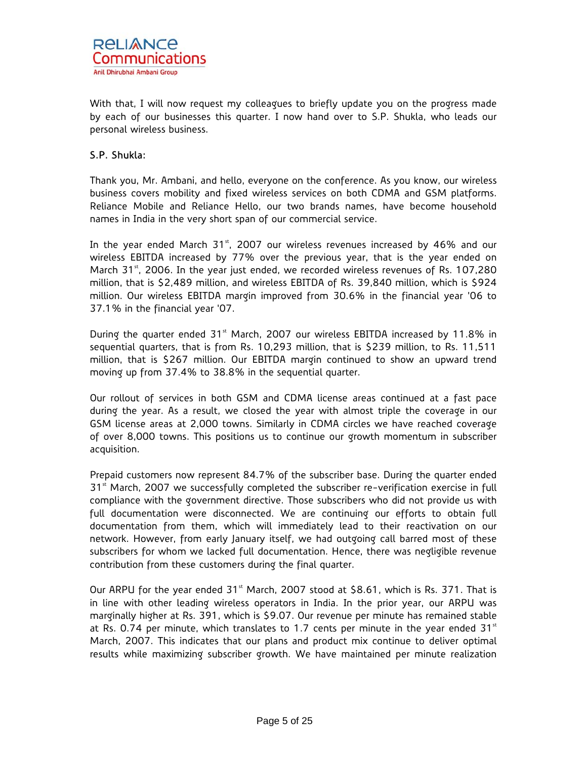

With that, I will now request my colleagues to briefly update you on the progress made by each of our businesses this quarter. I now hand over to S.P. Shukla, who leads our personal wireless business.

# S.P. Shukla:

Thank you, Mr. Ambani, and hello, everyone on the conference. As you know, our wireless business covers mobility and fixed wireless services on both CDMA and GSM platforms. Reliance Mobile and Reliance Hello, our two brands names, have become household names in India in the very short span of our commercial service.

In the year ended March  $31<sup>st</sup>$ , 2007 our wireless revenues increased by 46% and our wireless EBITDA increased by 77% over the previous year, that is the year ended on March  $31<sup>st</sup>$ , 2006. In the year just ended, we recorded wireless revenues of Rs. 107,280 million, that is \$2,489 million, and wireless EBITDA of Rs. 39,840 million, which is \$924 million. Our wireless EBITDA margin improved from 30.6% in the financial year '06 to 37.1% in the financial year '07.

During the quarter ended  $31<sup>st</sup>$  March, 2007 our wireless EBITDA increased by 11.8% in sequential quarters, that is from Rs. 10,293 million, that is \$239 million, to Rs. 11,511 million, that is \$267 million. Our EBITDA margin continued to show an upward trend moving up from 37.4% to 38.8% in the sequential quarter.

Our rollout of services in both GSM and CDMA license areas continued at a fast pace during the year. As a result, we closed the year with almost triple the coverage in our GSM license areas at 2,000 towns. Similarly in CDMA circles we have reached coverage of over 8,000 towns. This positions us to continue our growth momentum in subscriber acquisition.

Prepaid customers now represent 84.7% of the subscriber base. During the quarter ended  $31<sup>st</sup>$  March, 2007 we successfully completed the subscriber re-verification exercise in full compliance with the government directive. Those subscribers who did not provide us with full documentation were disconnected. We are continuing our efforts to obtain full documentation from them, which will immediately lead to their reactivation on our network. However, from early January itself, we had outgoing call barred most of these subscribers for whom we lacked full documentation. Hence, there was negligible revenue contribution from these customers during the final quarter.

Our ARPU for the year ended  $31<sup>st</sup>$  March, 2007 stood at \$8.61, which is Rs. 371. That is in line with other leading wireless operators in India. In the prior year, our ARPU was marginally higher at Rs. 391, which is \$9.07. Our revenue per minute has remained stable at Rs. 0.74 per minute, which translates to 1.7 cents per minute in the year ended 31 $^{\rm st}$ March, 2007. This indicates that our plans and product mix continue to deliver optimal results while maximizing subscriber growth. We have maintained per minute realization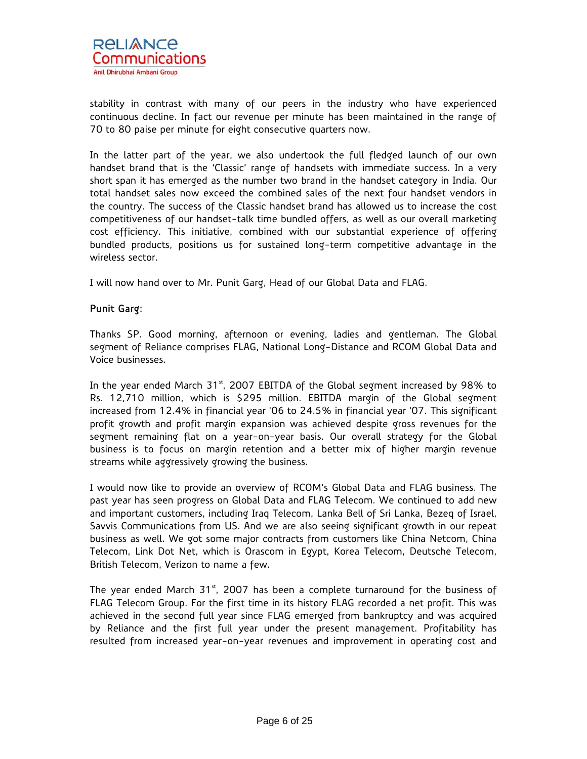

stability in contrast with many of our peers in the industry who have experienced continuous decline. In fact our revenue per minute has been maintained in the range of 70 to 80 paise per minute for eight consecutive quarters now.

In the latter part of the year, we also undertook the full fledged launch of our own handset brand that is the 'Classic' range of handsets with immediate success. In a very short span it has emerged as the number two brand in the handset category in India. Our total handset sales now exceed the combined sales of the next four handset vendors in the country. The success of the Classic handset brand has allowed us to increase the cost competitiveness of our handset-talk time bundled offers, as well as our overall marketing cost efficiency. This initiative, combined with our substantial experience of offering bundled products, positions us for sustained long-term competitive advantage in the wireless sector.

I will now hand over to Mr. Punit Garg, Head of our Global Data and FLAG.

# Punit Garg:

Thanks SP. Good morning, afternoon or evening, ladies and gentleman. The Global segment of Reliance comprises FLAG, National Long-Distance and RCOM Global Data and Voice businesses.

In the year ended March  $31<sup>st</sup>$ , 2007 EBITDA of the Global segment increased by 98% to Rs. 12,710 million, which is \$295 million. EBITDA margin of the Global segment increased from 12.4% in financial year '06 to 24.5% in financial year '07. This significant profit growth and profit margin expansion was achieved despite gross revenues for the segment remaining flat on a year-on-year basis. Our overall strategy for the Global business is to focus on margin retention and a better mix of higher margin revenue streams while aggressively growing the business.

I would now like to provide an overview of RCOM's Global Data and FLAG business. The past year has seen progress on Global Data and FLAG Telecom. We continued to add new and important customers, including Iraq Telecom, Lanka Bell of Sri Lanka, Bezeq of Israel, Savvis Communications from US. And we are also seeing significant growth in our repeat business as well. We got some major contracts from customers like China Netcom, China Telecom, Link Dot Net, which is Orascom in Egypt, Korea Telecom, Deutsche Telecom, British Telecom, Verizon to name a few.

The year ended March 31 $<sup>st</sup>$ , 2007 has been a complete turnaround for the business of</sup> FLAG Telecom Group. For the first time in its history FLAG recorded a net profit. This was achieved in the second full year since FLAG emerged from bankruptcy and was acquired by Reliance and the first full year under the present management. Profitability has resulted from increased year-on-year revenues and improvement in operating cost and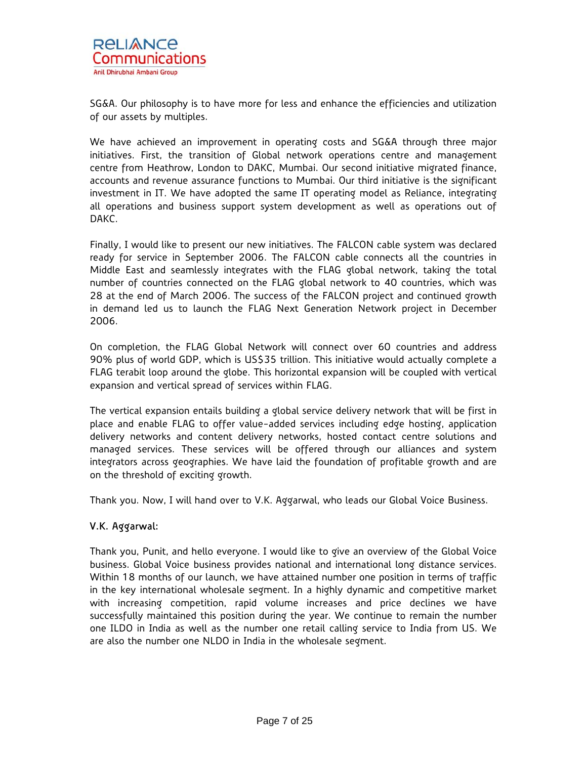SG&A. Our philosophy is to have more for less and enhance the efficiencies and utilization of our assets by multiples.

We have achieved an improvement in operating costs and SG&A through three major initiatives. First, the transition of Global network operations centre and management centre from Heathrow, London to DAKC, Mumbai. Our second initiative migrated finance, accounts and revenue assurance functions to Mumbai. Our third initiative is the significant investment in IT. We have adopted the same IT operating model as Reliance, integrating all operations and business support system development as well as operations out of DAKC.

Finally, I would like to present our new initiatives. The FALCON cable system was declared ready for service in September 2006. The FALCON cable connects all the countries in Middle East and seamlessly integrates with the FLAG global network, taking the total number of countries connected on the FLAG global network to 40 countries, which was 28 at the end of March 2006. The success of the FALCON project and continued growth in demand led us to launch the FLAG Next Generation Network project in December 2006.

On completion, the FLAG Global Network will connect over 60 countries and address 90% plus of world GDP, which is US\$35 trillion. This initiative would actually complete a FLAG terabit loop around the globe. This horizontal expansion will be coupled with vertical expansion and vertical spread of services within FLAG.

The vertical expansion entails building a global service delivery network that will be first in place and enable FLAG to offer value-added services including edge hosting, application delivery networks and content delivery networks, hosted contact centre solutions and managed services. These services will be offered through our alliances and system integrators across geographies. We have laid the foundation of profitable growth and are on the threshold of exciting growth.

Thank you. Now, I will hand over to V.K. Aggarwal, who leads our Global Voice Business.

# V.K. Aggarwal:

Thank you, Punit, and hello everyone. I would like to give an overview of the Global Voice business. Global Voice business provides national and international long distance services. Within 18 months of our launch, we have attained number one position in terms of traffic in the key international wholesale segment. In a highly dynamic and competitive market with increasing competition, rapid volume increases and price declines we have successfully maintained this position during the year. We continue to remain the number one ILDO in India as well as the number one retail calling service to India from US. We are also the number one NLDO in India in the wholesale segment.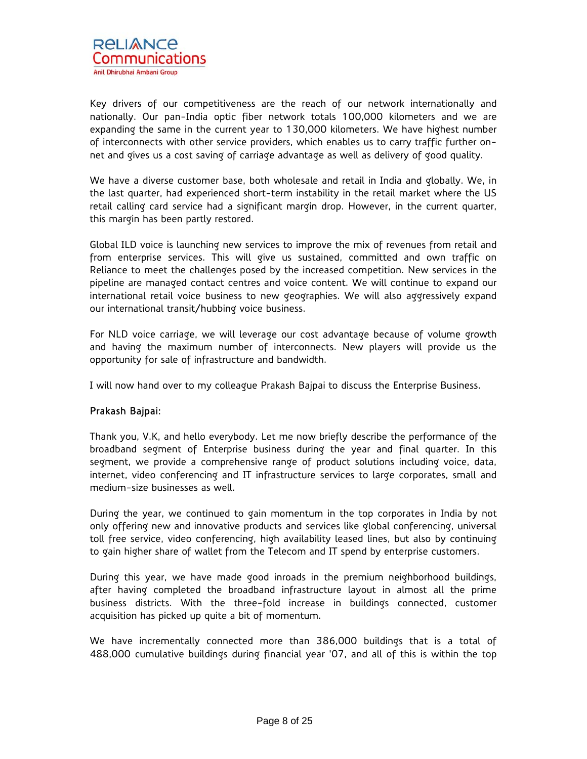

Key drivers of our competitiveness are the reach of our network internationally and nationally. Our pan-India optic fiber network totals 100,000 kilometers and we are expanding the same in the current year to 130,000 kilometers. We have highest number of interconnects with other service providers, which enables us to carry traffic further onnet and gives us a cost saving of carriage advantage as well as delivery of good quality.

We have a diverse customer base, both wholesale and retail in India and globally. We, in the last quarter, had experienced short-term instability in the retail market where the US retail calling card service had a significant margin drop. However, in the current quarter, this margin has been partly restored.

Global ILD voice is launching new services to improve the mix of revenues from retail and from enterprise services. This will give us sustained, committed and own traffic on Reliance to meet the challenges posed by the increased competition. New services in the pipeline are managed contact centres and voice content. We will continue to expand our international retail voice business to new geographies. We will also aggressively expand our international transit/hubbing voice business.

For NLD voice carriage, we will leverage our cost advantage because of volume growth and having the maximum number of interconnects. New players will provide us the opportunity for sale of infrastructure and bandwidth.

I will now hand over to my colleague Prakash Bajpai to discuss the Enterprise Business.

# Prakash Bajpai:

Thank you, V.K, and hello everybody. Let me now briefly describe the performance of the broadband segment of Enterprise business during the year and final quarter. In this segment, we provide a comprehensive range of product solutions including voice, data, internet, video conferencing and IT infrastructure services to large corporates, small and medium-size businesses as well.

During the year, we continued to gain momentum in the top corporates in India by not only offering new and innovative products and services like global conferencing, universal toll free service, video conferencing, high availability leased lines, but also by continuing to gain higher share of wallet from the Telecom and IT spend by enterprise customers.

During this year, we have made good inroads in the premium neighborhood buildings, after having completed the broadband infrastructure layout in almost all the prime business districts. With the three-fold increase in buildings connected, customer acquisition has picked up quite a bit of momentum.

We have incrementally connected more than 386,000 buildings that is a total of 488,000 cumulative buildings during financial year '07, and all of this is within the top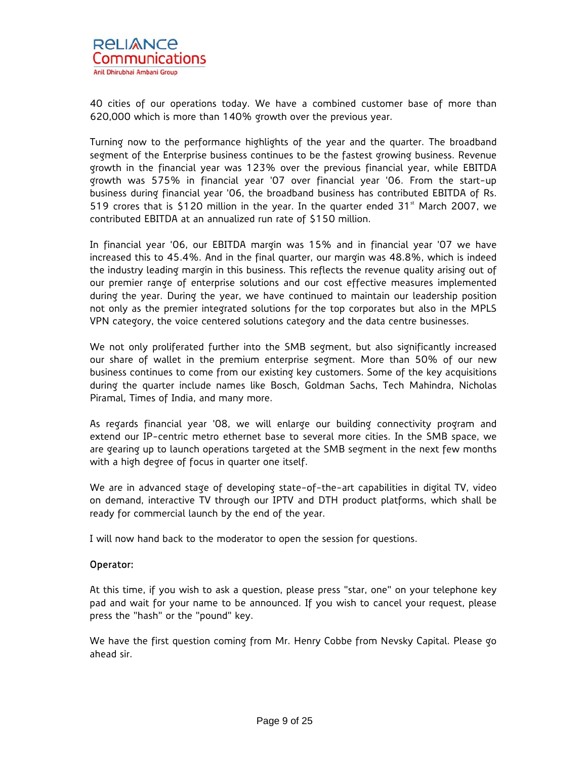

40 cities of our operations today. We have a combined customer base of more than 620,000 which is more than 140% growth over the previous year.

Turning now to the performance highlights of the year and the quarter. The broadband segment of the Enterprise business continues to be the fastest growing business. Revenue growth in the financial year was 123% over the previous financial year, while EBITDA growth was 575% in financial year '07 over financial year '06. From the start-up business during financial year '06, the broadband business has contributed EBITDA of Rs. 519 crores that is \$120 million in the year. In the quarter ended  $31<sup>st</sup>$  March 2007, we contributed EBITDA at an annualized run rate of \$150 million.

In financial year '06, our EBITDA margin was 15% and in financial year '07 we have increased this to 45.4%. And in the final quarter, our margin was 48.8%, which is indeed the industry leading margin in this business. This reflects the revenue quality arising out of our premier range of enterprise solutions and our cost effective measures implemented during the year. During the year, we have continued to maintain our leadership position not only as the premier integrated solutions for the top corporates but also in the MPLS VPN category, the voice centered solutions category and the data centre businesses.

We not only proliferated further into the SMB segment, but also significantly increased our share of wallet in the premium enterprise segment. More than 50% of our new business continues to come from our existing key customers. Some of the key acquisitions during the quarter include names like Bosch, Goldman Sachs, Tech Mahindra, Nicholas Piramal, Times of India, and many more.

As regards financial year '08, we will enlarge our building connectivity program and extend our IP-centric metro ethernet base to several more cities. In the SMB space, we are gearing up to launch operations targeted at the SMB segment in the next few months with a high degree of focus in quarter one itself.

We are in advanced stage of developing state-of-the-art capabilities in digital TV, video on demand, interactive TV through our IPTV and DTH product platforms, which shall be ready for commercial launch by the end of the year.

I will now hand back to the moderator to open the session for questions.

### Operator:

At this time, if you wish to ask a question, please press "star, one" on your telephone key pad and wait for your name to be announced. If you wish to cancel your request, please press the "hash" or the "pound" key.

We have the first question coming from Mr. Henry Cobbe from Nevsky Capital. Please go ahead sir.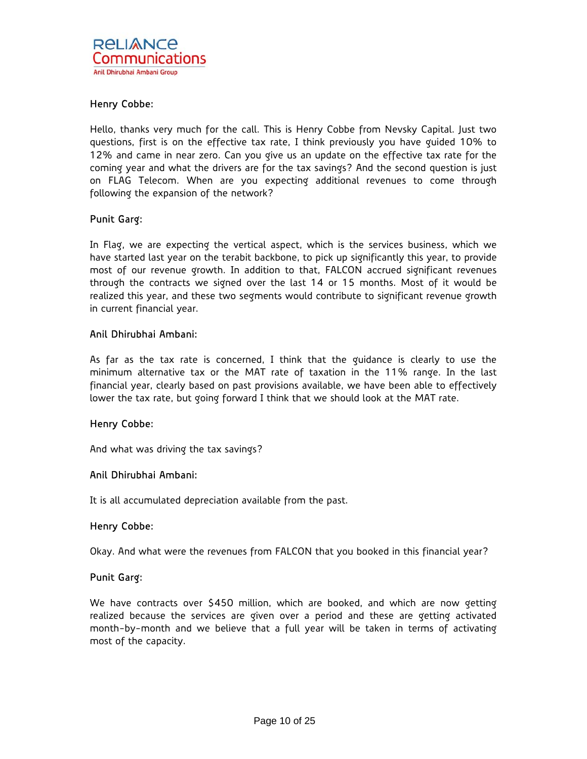# Henry Cobbe:

Hello, thanks very much for the call. This is Henry Cobbe from Nevsky Capital. Just two questions, first is on the effective tax rate, I think previously you have guided 10% to 12% and came in near zero. Can you give us an update on the effective tax rate for the coming year and what the drivers are for the tax savings? And the second question is just on FLAG Telecom. When are you expecting additional revenues to come through following the expansion of the network?

# Punit Garg:

In Flag, we are expecting the vertical aspect, which is the services business, which we have started last year on the terabit backbone, to pick up significantly this year, to provide most of our revenue growth. In addition to that, FALCON accrued significant revenues through the contracts we signed over the last 14 or 15 months. Most of it would be realized this year, and these two segments would contribute to significant revenue growth in current financial year.

### Anil Dhirubhai Ambani:

As far as the tax rate is concerned, I think that the guidance is clearly to use the minimum alternative tax or the MAT rate of taxation in the 11% range. In the last financial year, clearly based on past provisions available, we have been able to effectively lower the tax rate, but going forward I think that we should look at the MAT rate.

### Henry Cobbe:

And what was driving the tax savings?

## Anil Dhirubhai Ambani:

It is all accumulated depreciation available from the past.

### Henry Cobbe:

Okay. And what were the revenues from FALCON that you booked in this financial year?

### Punit Garg:

We have contracts over \$450 million, which are booked, and which are now getting realized because the services are given over a period and these are getting activated month-by-month and we believe that a full year will be taken in terms of activating most of the capacity.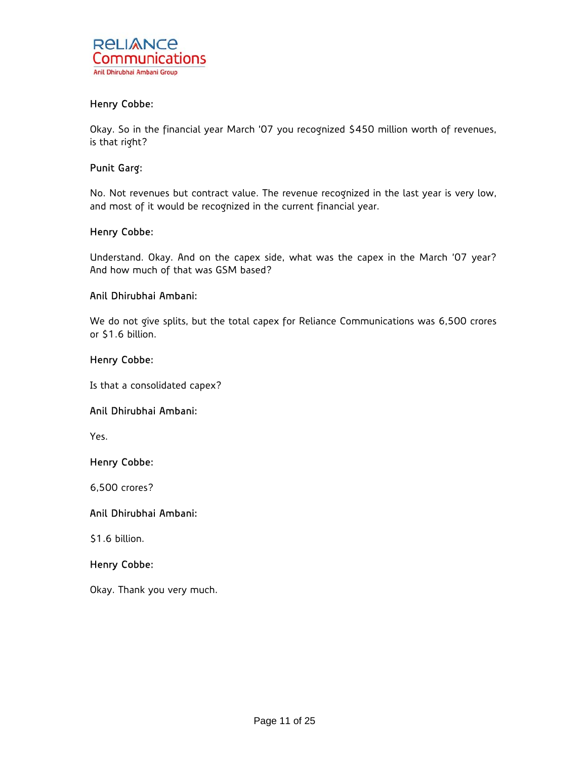

# Henry Cobbe:

Okay. So in the financial year March '07 you recognized \$450 million worth of revenues, is that right?

### Punit Garg:

No. Not revenues but contract value. The revenue recognized in the last year is very low, and most of it would be recognized in the current financial year.

### Henry Cobbe:

Understand. Okay. And on the capex side, what was the capex in the March '07 year? And how much of that was GSM based?

### Anil Dhirubhai Ambani:

We do not give splits, but the total capex for Reliance Communications was 6,500 crores or \$1.6 billion.

#### Henry Cobbe:

Is that a consolidated capex?

# Anil Dhirubhai Ambani:

Yes.

### Henry Cobbe:

6,500 crores?

# Anil Dhirubhai Ambani:

\$1.6 billion.

### Henry Cobbe:

Okay. Thank you very much.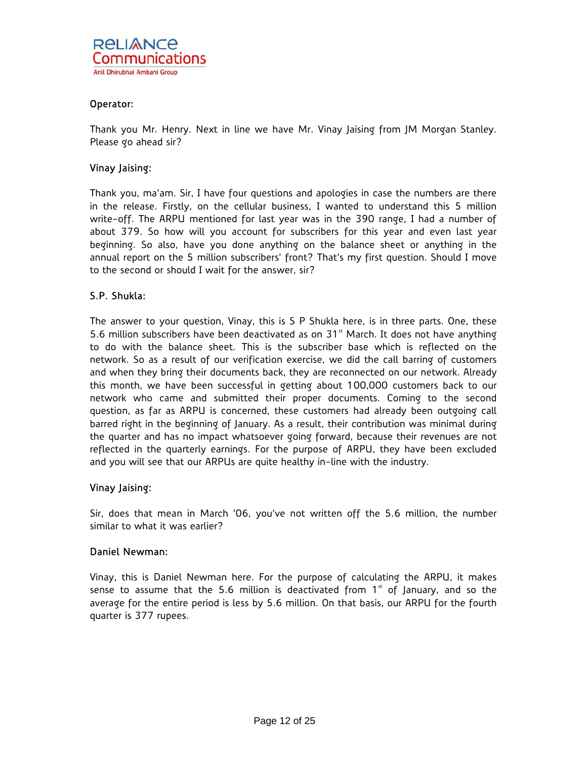

## Operator:

Thank you Mr. Henry. Next in line we have Mr. Vinay Jaising from JM Morgan Stanley. Please go ahead sir?

# Vinay Jaising:

Thank you, ma'am. Sir, I have four questions and apologies in case the numbers are there in the release. Firstly, on the cellular business, I wanted to understand this 5 million write-off. The ARPU mentioned for last year was in the 390 range, I had a number of about 379. So how will you account for subscribers for this year and even last year beginning. So also, have you done anything on the balance sheet or anything in the annual report on the 5 million subscribers' front? That's my first question. Should I move to the second or should I wait for the answer, sir?

# S.P. Shukla:

The answer to your question, Vinay, this is S P Shukla here, is in three parts. One, these 5.6 million subscribers have been deactivated as on  $31<sup>st</sup>$  March. It does not have anything to do with the balance sheet. This is the subscriber base which is reflected on the network. So as a result of our verification exercise, we did the call barring of customers and when they bring their documents back, they are reconnected on our network. Already this month, we have been successful in getting about 100,000 customers back to our network who came and submitted their proper documents. Coming to the second question, as far as ARPU is concerned, these customers had already been outgoing call barred right in the beginning of January. As a result, their contribution was minimal during the quarter and has no impact whatsoever going forward, because their revenues are not reflected in the quarterly earnings. For the purpose of ARPU, they have been excluded and you will see that our ARPUs are quite healthy in-line with the industry.

### Vinay Jaising:

Sir, does that mean in March '06, you've not written off the 5.6 million, the number similar to what it was earlier?

### Daniel Newman:

Vinay, this is Daniel Newman here. For the purpose of calculating the ARPU, it makes sense to assume that the 5.6 million is deactivated from  $1<sup>st</sup>$  of January, and so the average for the entire period is less by 5.6 million. On that basis, our ARPU for the fourth quarter is 377 rupees.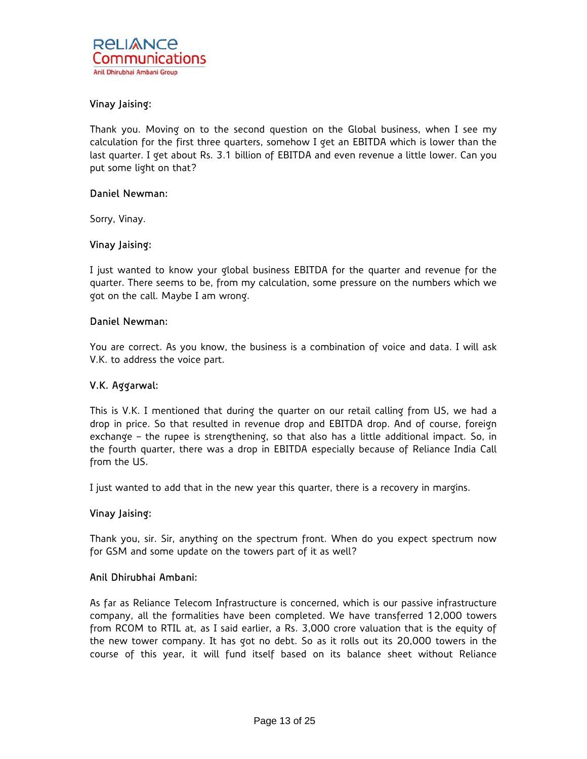# Vinay Jaising:

Thank you. Moving on to the second question on the Global business, when I see my calculation for the first three quarters, somehow I get an EBITDA which is lower than the last quarter. I get about Rs. 3.1 billion of EBITDA and even revenue a little lower. Can you put some light on that?

### Daniel Newman:

Sorry, Vinay.

# Vinay Jaising:

I just wanted to know your global business EBITDA for the quarter and revenue for the quarter. There seems to be, from my calculation, some pressure on the numbers which we got on the call. Maybe I am wrong.

#### Daniel Newman:

You are correct. As you know, the business is a combination of voice and data. I will ask V.K. to address the voice part.

### V.K. Aggarwal:

This is V.K. I mentioned that during the quarter on our retail calling from US, we had a drop in price. So that resulted in revenue drop and EBITDA drop. And of course, foreign exchange – the rupee is strengthening, so that also has a little additional impact. So, in the fourth quarter, there was a drop in EBITDA especially because of Reliance India Call from the US.

I just wanted to add that in the new year this quarter, there is a recovery in margins.

### Vinay Jaising:

Thank you, sir. Sir, anything on the spectrum front. When do you expect spectrum now for GSM and some update on the towers part of it as well?

### Anil Dhirubhai Ambani:

As far as Reliance Telecom Infrastructure is concerned, which is our passive infrastructure company, all the formalities have been completed. We have transferred 12,000 towers from RCOM to RTIL at, as I said earlier, a Rs. 3,000 crore valuation that is the equity of the new tower company. It has got no debt. So as it rolls out its 20,000 towers in the course of this year, it will fund itself based on its balance sheet without Reliance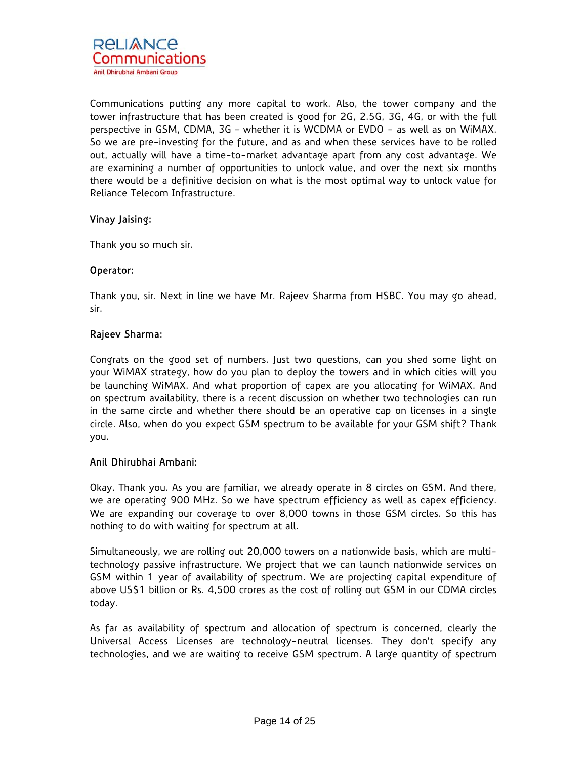Communications putting any more capital to work. Also, the tower company and the tower infrastructure that has been created is good for 2G, 2.5G, 3G, 4G, or with the full perspective in GSM, CDMA, 3G – whether it is WCDMA or EVDO - as well as on WiMAX. So we are pre-investing for the future, and as and when these services have to be rolled out, actually will have a time-to-market advantage apart from any cost advantage. We are examining a number of opportunities to unlock value, and over the next six months there would be a definitive decision on what is the most optimal way to unlock value for Reliance Telecom Infrastructure.

# Vinay Jaising:

Thank you so much sir.

# Operator:

Thank you, sir. Next in line we have Mr. Rajeev Sharma from HSBC. You may go ahead, sir.

# Rajeev Sharma:

Congrats on the good set of numbers. Just two questions, can you shed some light on your WiMAX strategy, how do you plan to deploy the towers and in which cities will you be launching WiMAX. And what proportion of capex are you allocating for WiMAX. And on spectrum availability, there is a recent discussion on whether two technologies can run in the same circle and whether there should be an operative cap on licenses in a single circle. Also, when do you expect GSM spectrum to be available for your GSM shift? Thank you.

# Anil Dhirubhai Ambani:

Okay. Thank you. As you are familiar, we already operate in 8 circles on GSM. And there, we are operating 900 MHz. So we have spectrum efficiency as well as capex efficiency. We are expanding our coverage to over 8,000 towns in those GSM circles. So this has nothing to do with waiting for spectrum at all.

Simultaneously, we are rolling out 20,000 towers on a nationwide basis, which are multitechnology passive infrastructure. We project that we can launch nationwide services on GSM within 1 year of availability of spectrum. We are projecting capital expenditure of above US\$1 billion or Rs. 4,500 crores as the cost of rolling out GSM in our CDMA circles today.

As far as availability of spectrum and allocation of spectrum is concerned, clearly the Universal Access Licenses are technology-neutral licenses. They don't specify any technologies, and we are waiting to receive GSM spectrum. A large quantity of spectrum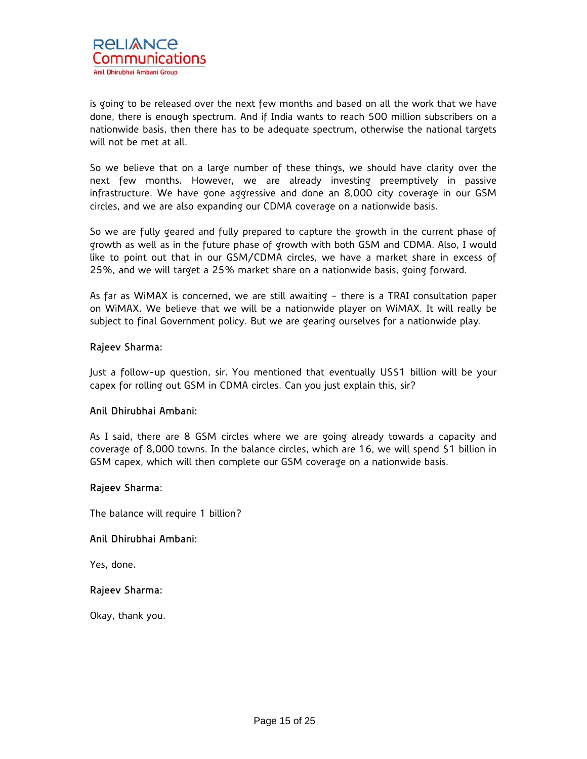is going to be released over the next few months and based on all the work that we have done, there is enough spectrum. And if India wants to reach 500 million subscribers on a nationwide basis, then there has to be adequate spectrum, otherwise the national targets will not be met at all.

So we believe that on a large number of these things, we should have clarity over the next few months. However, we are already investing preemptively in passive infrastructure. We have gone aggressive and done an 8,000 city coverage in our GSM circles, and we are also expanding our CDMA coverage on a nationwide basis.

So we are fully geared and fully prepared to capture the growth in the current phase of growth as well as in the future phase of growth with both GSM and CDMA. Also, I would like to point out that in our GSM/CDMA circles, we have a market share in excess of 25%, and we will target a 25% market share on a nationwide basis, going forward.

As far as WiMAX is concerned, we are still awaiting - there is a TRAI consultation paper on WiMAX. We believe that we will be a nationwide player on WiMAX. It will really be subject to final Government policy. But we are gearing ourselves for a nationwide play.

# Rajeev Sharma:

Just a follow-up question, sir. You mentioned that eventually US\$1 billion will be your capex for rolling out GSM in CDMA circles. Can you just explain this, sir?

### Anil Dhirubhai Ambani:

As I said, there are 8 GSM circles where we are going already towards a capacity and coverage of 8,000 towns. In the balance circles, which are 16, we will spend \$1 billion in GSM capex, which will then complete our GSM coverage on a nationwide basis.

### Rajeev Sharma:

The balance will require 1 billion?

### Anil Dhirubhai Ambani:

Yes, done.

### Rajeev Sharma:

Okay, thank you.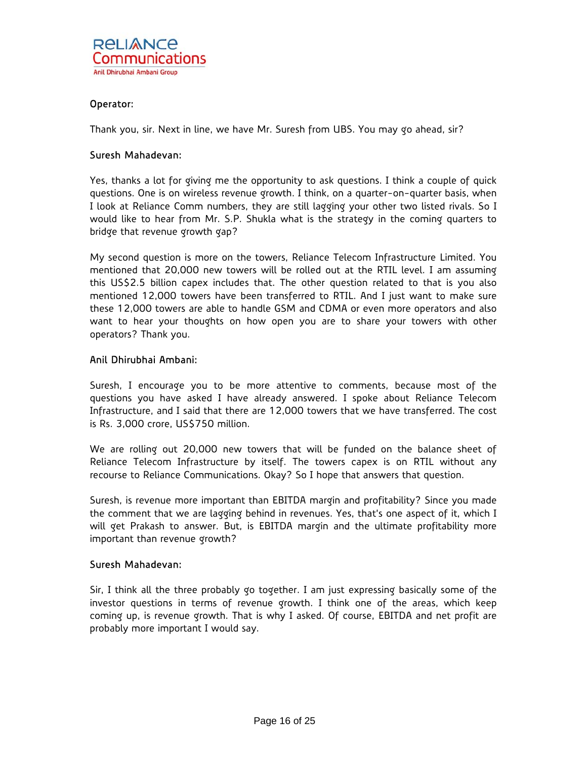## Operator:

Thank you, sir. Next in line, we have Mr. Suresh from UBS. You may go ahead, sir?

### Suresh Mahadevan:

Yes, thanks a lot for giving me the opportunity to ask questions. I think a couple of quick questions. One is on wireless revenue growth. I think, on a quarter-on-quarter basis, when I look at Reliance Comm numbers, they are still lagging your other two listed rivals. So I would like to hear from Mr. S.P. Shukla what is the strategy in the coming quarters to bridge that revenue growth gap?

My second question is more on the towers, Reliance Telecom Infrastructure Limited. You mentioned that 20,000 new towers will be rolled out at the RTIL level. I am assuming this US\$2.5 billion capex includes that. The other question related to that is you also mentioned 12,000 towers have been transferred to RTIL. And I just want to make sure these 12,000 towers are able to handle GSM and CDMA or even more operators and also want to hear your thoughts on how open you are to share your towers with other operators? Thank you.

### Anil Dhirubhai Ambani:

Suresh, I encourage you to be more attentive to comments, because most of the questions you have asked I have already answered. I spoke about Reliance Telecom Infrastructure, and I said that there are 12,000 towers that we have transferred. The cost is Rs. 3,000 crore, US\$750 million.

We are rolling out 20,000 new towers that will be funded on the balance sheet of Reliance Telecom Infrastructure by itself. The towers capex is on RTIL without any recourse to Reliance Communications. Okay? So I hope that answers that question.

Suresh, is revenue more important than EBITDA margin and profitability? Since you made the comment that we are lagging behind in revenues. Yes, that's one aspect of it, which I will get Prakash to answer. But, is EBITDA margin and the ultimate profitability more important than revenue growth?

### Suresh Mahadevan:

Sir, I think all the three probably go together. I am just expressing basically some of the investor questions in terms of revenue growth. I think one of the areas, which keep coming up, is revenue growth. That is why I asked. Of course, EBITDA and net profit are probably more important I would say.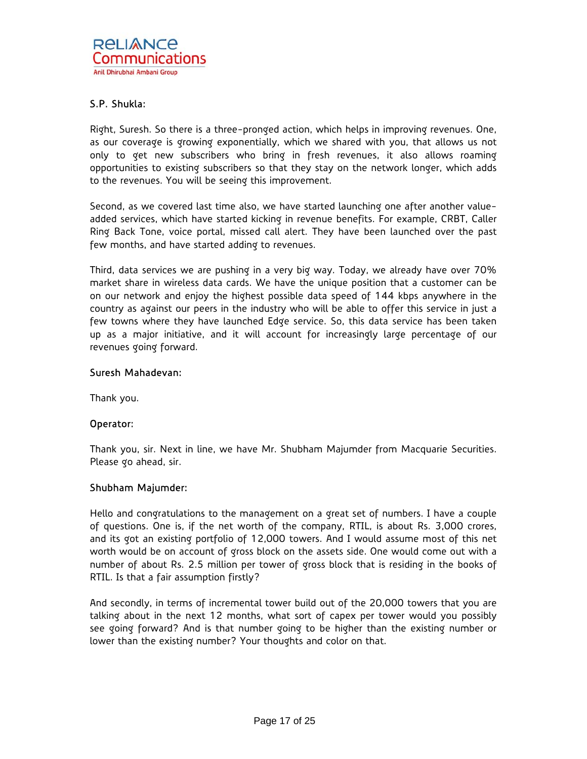# S.P. Shukla:

Right, Suresh. So there is a three-pronged action, which helps in improving revenues. One, as our coverage is growing exponentially, which we shared with you, that allows us not only to get new subscribers who bring in fresh revenues, it also allows roaming opportunities to existing subscribers so that they stay on the network longer, which adds to the revenues. You will be seeing this improvement.

Second, as we covered last time also, we have started launching one after another valueadded services, which have started kicking in revenue benefits. For example, CRBT, Caller Ring Back Tone, voice portal, missed call alert. They have been launched over the past few months, and have started adding to revenues.

Third, data services we are pushing in a very big way. Today, we already have over 70% market share in wireless data cards. We have the unique position that a customer can be on our network and enjoy the highest possible data speed of 144 kbps anywhere in the country as against our peers in the industry who will be able to offer this service in just a few towns where they have launched Edge service. So, this data service has been taken up as a major initiative, and it will account for increasingly large percentage of our revenues going forward.

### Suresh Mahadevan:

Thank you.

### Operator:

Thank you, sir. Next in line, we have Mr. Shubham Majumder from Macquarie Securities. Please go ahead, sir.

# Shubham Majumder:

Hello and congratulations to the management on a great set of numbers. I have a couple of questions. One is, if the net worth of the company, RTIL, is about Rs. 3,000 crores, and its got an existing portfolio of 12,000 towers. And I would assume most of this net worth would be on account of gross block on the assets side. One would come out with a number of about Rs. 2.5 million per tower of gross block that is residing in the books of RTIL. Is that a fair assumption firstly?

And secondly, in terms of incremental tower build out of the 20,000 towers that you are talking about in the next 12 months, what sort of capex per tower would you possibly see going forward? And is that number going to be higher than the existing number or lower than the existing number? Your thoughts and color on that.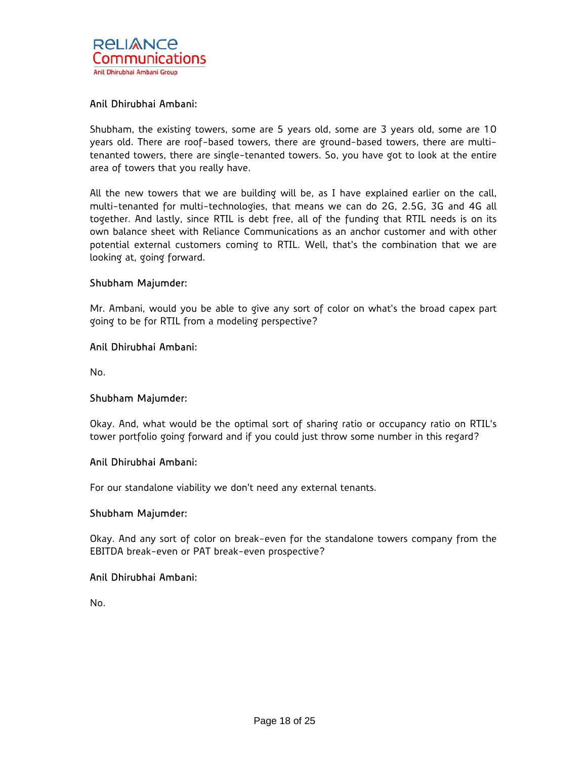

## Anil Dhirubhai Ambani:

Shubham, the existing towers, some are 5 years old, some are 3 years old, some are 10 years old. There are roof-based towers, there are ground-based towers, there are multitenanted towers, there are single-tenanted towers. So, you have got to look at the entire area of towers that you really have.

All the new towers that we are building will be, as I have explained earlier on the call, multi-tenanted for multi-technologies, that means we can do 2G, 2.5G, 3G and 4G all together. And lastly, since RTIL is debt free, all of the funding that RTIL needs is on its own balance sheet with Reliance Communications as an anchor customer and with other potential external customers coming to RTIL. Well, that's the combination that we are looking at, going forward.

### Shubham Majumder:

Mr. Ambani, would you be able to give any sort of color on what's the broad capex part going to be for RTIL from a modeling perspective?

### Anil Dhirubhai Ambani:

No.

### Shubham Majumder:

Okay. And, what would be the optimal sort of sharing ratio or occupancy ratio on RTIL's tower portfolio going forward and if you could just throw some number in this regard?

#### Anil Dhirubhai Ambani:

For our standalone viability we don't need any external tenants.

#### Shubham Majumder:

Okay. And any sort of color on break-even for the standalone towers company from the EBITDA break-even or PAT break-even prospective?

### Anil Dhirubhai Ambani:

No.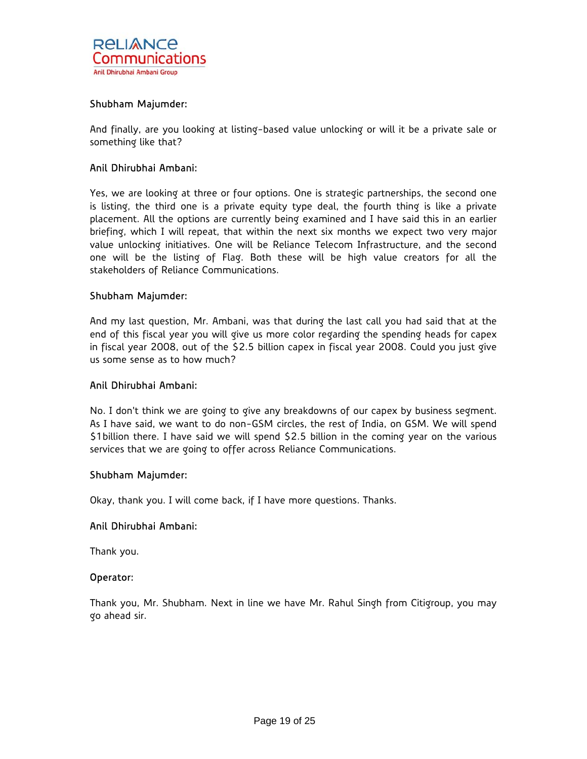

## Shubham Majumder:

And finally, are you looking at listing-based value unlocking or will it be a private sale or something like that?

### Anil Dhirubhai Ambani:

Yes, we are looking at three or four options. One is strategic partnerships, the second one is listing, the third one is a private equity type deal, the fourth thing is like a private placement. All the options are currently being examined and I have said this in an earlier briefing, which I will repeat, that within the next six months we expect two very major value unlocking initiatives. One will be Reliance Telecom Infrastructure, and the second one will be the listing of Flag. Both these will be high value creators for all the stakeholders of Reliance Communications.

### Shubham Majumder:

And my last question, Mr. Ambani, was that during the last call you had said that at the end of this fiscal year you will give us more color regarding the spending heads for capex in fiscal year 2008, out of the \$2.5 billion capex in fiscal year 2008. Could you just give us some sense as to how much?

### Anil Dhirubhai Ambani:

No. I don't think we are going to give any breakdowns of our capex by business segment. As I have said, we want to do non-GSM circles, the rest of India, on GSM. We will spend \$1billion there. I have said we will spend \$2.5 billion in the coming year on the various services that we are going to offer across Reliance Communications.

#### Shubham Majumder:

Okay, thank you. I will come back, if I have more questions. Thanks.

#### Anil Dhirubhai Ambani:

Thank you.

#### Operator:

Thank you, Mr. Shubham. Next in line we have Mr. Rahul Singh from Citigroup, you may go ahead sir.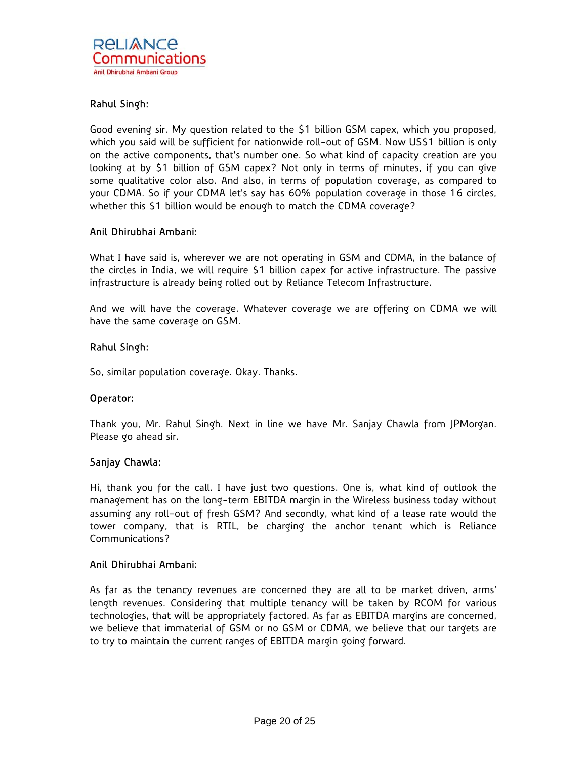# Rahul Singh:

Good evening sir. My question related to the \$1 billion GSM capex, which you proposed, which you said will be sufficient for nationwide roll-out of GSM. Now US\$1 billion is only on the active components, that's number one. So what kind of capacity creation are you looking at by \$1 billion of GSM capex? Not only in terms of minutes, if you can give some qualitative color also. And also, in terms of population coverage, as compared to your CDMA. So if your CDMA let's say has 60% population coverage in those 16 circles, whether this \$1 billion would be enough to match the CDMA coverage?

# Anil Dhirubhai Ambani:

What I have said is, wherever we are not operating in GSM and CDMA, in the balance of the circles in India, we will require \$1 billion capex for active infrastructure. The passive infrastructure is already being rolled out by Reliance Telecom Infrastructure.

And we will have the coverage. Whatever coverage we are offering on CDMA we will have the same coverage on GSM.

### Rahul Singh:

So, similar population coverage. Okay. Thanks.

### Operator:

Thank you, Mr. Rahul Singh. Next in line we have Mr. Sanjay Chawla from JPMorgan. Please go ahead sir.

### Sanjay Chawla:

Hi, thank you for the call. I have just two questions. One is, what kind of outlook the management has on the long-term EBITDA margin in the Wireless business today without assuming any roll-out of fresh GSM? And secondly, what kind of a lease rate would the tower company, that is RTIL, be charging the anchor tenant which is Reliance Communications?

### Anil Dhirubhai Ambani:

As far as the tenancy revenues are concerned they are all to be market driven, arms' length revenues. Considering that multiple tenancy will be taken by RCOM for various technologies, that will be appropriately factored. As far as EBITDA margins are concerned, we believe that immaterial of GSM or no GSM or CDMA, we believe that our targets are to try to maintain the current ranges of EBITDA margin going forward.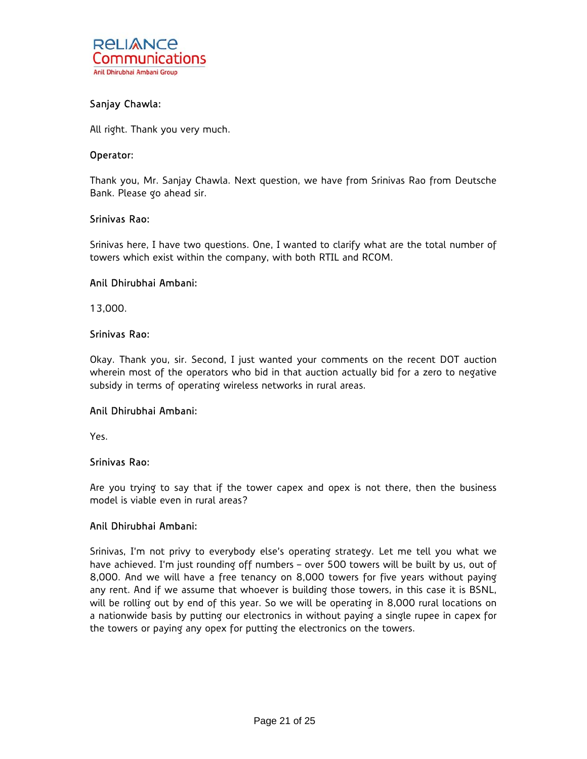

# Sanjay Chawla:

All right. Thank you very much.

#### Operator:

Thank you, Mr. Sanjay Chawla. Next question, we have from Srinivas Rao from Deutsche Bank. Please go ahead sir.

### Srinivas Rao:

Srinivas here, I have two questions. One, I wanted to clarify what are the total number of towers which exist within the company, with both RTIL and RCOM.

#### Anil Dhirubhai Ambani:

13,000.

### Srinivas Rao:

Okay. Thank you, sir. Second, I just wanted your comments on the recent DOT auction wherein most of the operators who bid in that auction actually bid for a zero to negative subsidy in terms of operating wireless networks in rural areas.

# Anil Dhirubhai Ambani:

Yes.

### Srinivas Rao:

Are you trying to say that if the tower capex and opex is not there, then the business model is viable even in rural areas?

### Anil Dhirubhai Ambani:

Srinivas, I'm not privy to everybody else's operating strategy. Let me tell you what we have achieved. I'm just rounding off numbers - over 500 towers will be built by us, out of 8,000. And we will have a free tenancy on 8,000 towers for five years without paying any rent. And if we assume that whoever is building those towers, in this case it is BSNL, will be rolling out by end of this year. So we will be operating in 8,000 rural locations on a nationwide basis by putting our electronics in without paying a single rupee in capex for the towers or paying any opex for putting the electronics on the towers.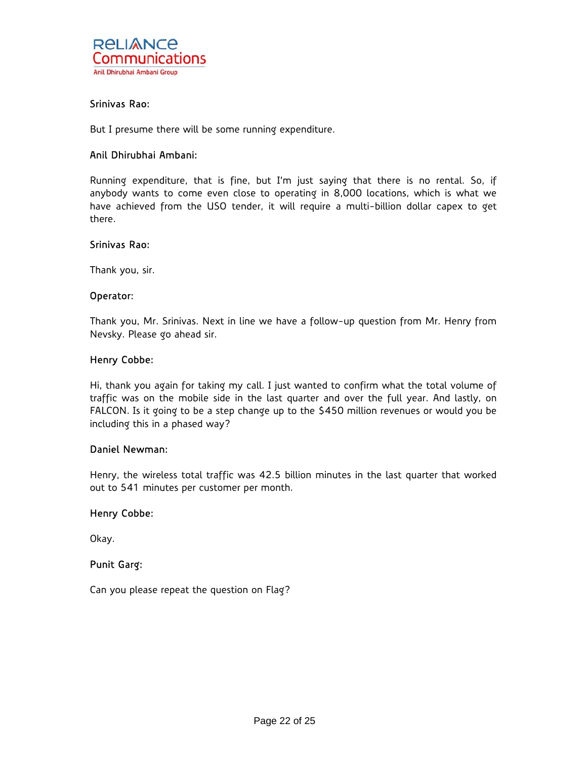

# Srinivas Rao:

But I presume there will be some running expenditure.

### Anil Dhirubhai Ambani:

Running expenditure, that is fine, but I'm just saying that there is no rental. So, if anybody wants to come even close to operating in 8,000 locations, which is what we have achieved from the USO tender, it will require a multi-billion dollar capex to get there.

### Srinivas Rao:

Thank you, sir.

#### Operator:

Thank you, Mr. Srinivas. Next in line we have a follow-up question from Mr. Henry from Nevsky. Please go ahead sir.

#### Henry Cobbe:

Hi, thank you again for taking my call. I just wanted to confirm what the total volume of traffic was on the mobile side in the last quarter and over the full year. And lastly, on FALCON. Is it going to be a step change up to the \$450 million revenues or would you be including this in a phased way?

# Daniel Newman:

Henry, the wireless total traffic was 42.5 billion minutes in the last quarter that worked out to 541 minutes per customer per month.

### Henry Cobbe:

Okay.

# Punit Garg:

Can you please repeat the question on Flag?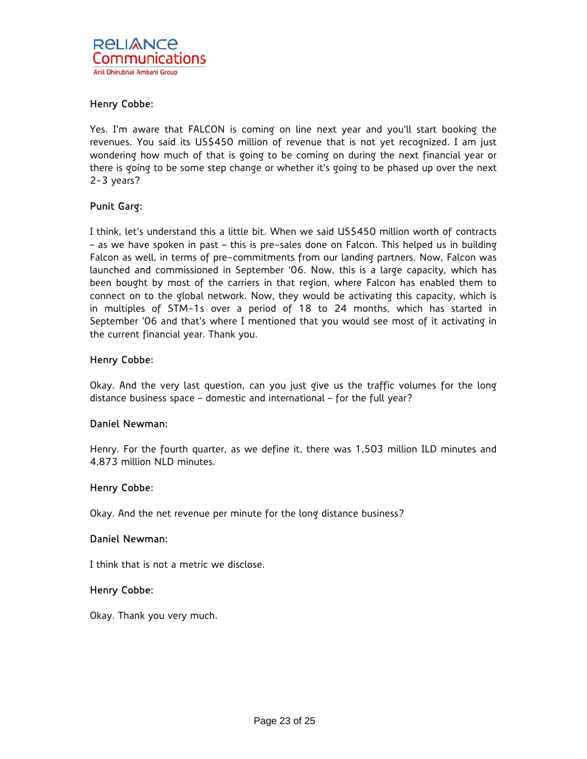# Henry Cobbe:

Yes. I'm aware that FALCON is coming on line next year and you'll start booking the revenues. You said its US\$450 million of revenue that is not yet recognized. I am just wondering how much of that is going to be coming on during the next financial year or there is going to be some step change or whether it's going to be phased up over the next 2-3 years?

# Punit Garg:

I think, let's understand this a little bit. When we said US\$450 million worth of contracts – as we have spoken in past – this is pre-sales done on Falcon. This helped us in building Falcon as well, in terms of pre-commitments from our landing partners. Now, Falcon was launched and commissioned in September '06. Now, this is a large capacity, which has been bought by most of the carriers in that region, where Falcon has enabled them to connect on to the global network. Now, they would be activating this capacity, which is in multiples of STM-1s over a period of 18 to 24 months, which has started in September '06 and that's where I mentioned that you would see most of it activating in the current financial year. Thank you.

# Henry Cobbe:

Okay. And the very last question, can you just give us the traffic volumes for the long distance business space – domestic and international – for the full year?

### Daniel Newman:

Henry. For the fourth quarter, as we define it, there was 1,503 million ILD minutes and 4,873 million NLD minutes.

### Henry Cobbe:

Okay. And the net revenue per minute for the long distance business?

### Daniel Newman:

I think that is not a metric we disclose.

### Henry Cobbe:

Okay. Thank you very much.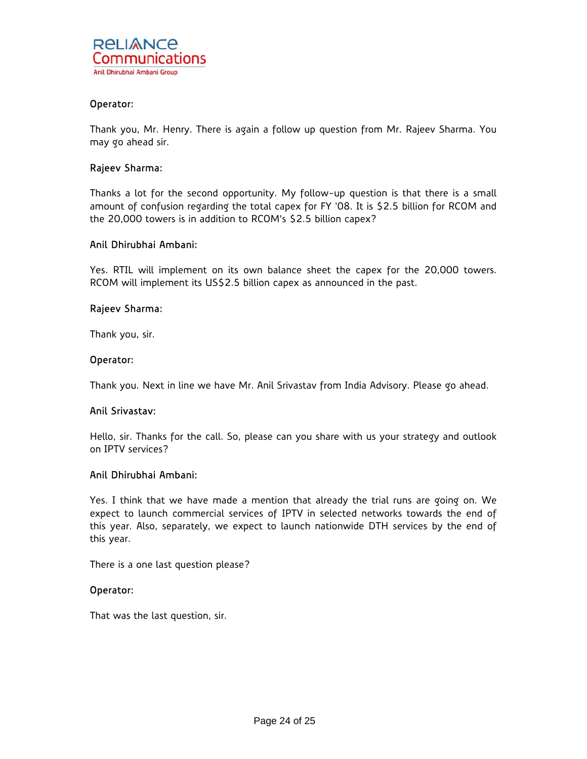

### Operator:

Thank you, Mr. Henry. There is again a follow up question from Mr. Rajeev Sharma. You may go ahead sir.

### Rajeev Sharma:

Thanks a lot for the second opportunity. My follow-up question is that there is a small amount of confusion regarding the total capex for FY '08. It is \$2.5 billion for RCOM and the 20,000 towers is in addition to RCOM's \$2.5 billion capex?

### Anil Dhirubhai Ambani:

Yes. RTIL will implement on its own balance sheet the capex for the 20,000 towers. RCOM will implement its US\$2.5 billion capex as announced in the past.

### Rajeev Sharma:

Thank you, sir.

#### Operator:

Thank you. Next in line we have Mr. Anil Srivastav from India Advisory. Please go ahead.

### Anil Srivastav:

Hello, sir. Thanks for the call. So, please can you share with us your strategy and outlook on IPTV services?

#### Anil Dhirubhai Ambani:

Yes. I think that we have made a mention that already the trial runs are going on. We expect to launch commercial services of IPTV in selected networks towards the end of this year. Also, separately, we expect to launch nationwide DTH services by the end of this year.

There is a one last question please?

#### Operator:

That was the last question, sir.